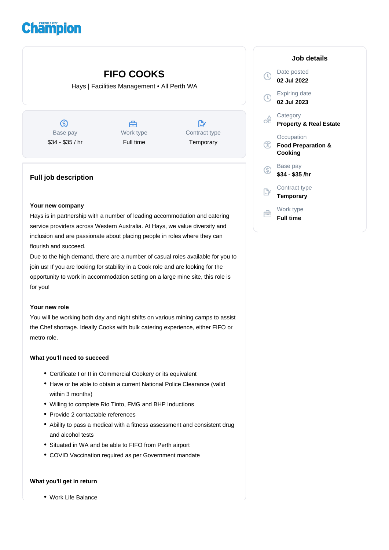# **Champion**

## **FIFO COOKS**

Hays | Facilities Management • All Perth WA

 $\circledS$ Base pay \$34 - \$35 / hr

合 Work type Full time

 $\mathbb{D}$ Contract type **Temporary** 

### **Full job description**

#### **Your new company**

Hays is in partnership with a number of leading accommodation and catering service providers across Western Australia. At Hays, we value diversity and inclusion and are passionate about placing people in roles where they can flourish and succeed.

Due to the high demand, there are a number of casual roles available for you to join us! If you are looking for stability in a Cook role and are looking for the opportunity to work in accommodation setting on a large mine site, this role is for you!

#### **Your new role**

You will be working both day and night shifts on various mining camps to assist the Chef shortage. Ideally Cooks with bulk catering experience, either FIFO or metro role.

#### **What you'll need to succeed**

- Certificate I or II in Commercial Cookery or its equivalent
- Have or be able to obtain a current National Police Clearance (valid within 3 months)
- Willing to complete Rio Tinto, FMG and BHP Inductions
- Provide 2 contactable references
- Ability to pass a medical with a fitness assessment and consistent drug and alcohol tests
- Situated in WA and be able to FIFO from Perth airport
- COVID Vaccination required as per Government mandate

#### **What you'll get in return**

Work Life Balance

| Job details                                            |
|--------------------------------------------------------|
| Date posted<br>02 Jul 2022                             |
| <b>Expiring date</b><br>02 Jul 2023                    |
| Category<br><b>Property &amp; Real Estate</b>          |
| Occupation<br><b>Food Preparation &amp;</b><br>Cooking |
| Base pay<br>\$34 - \$35 /hr                            |
| Contract type<br>Temporary                             |
| Work type<br><b>Full time</b>                          |